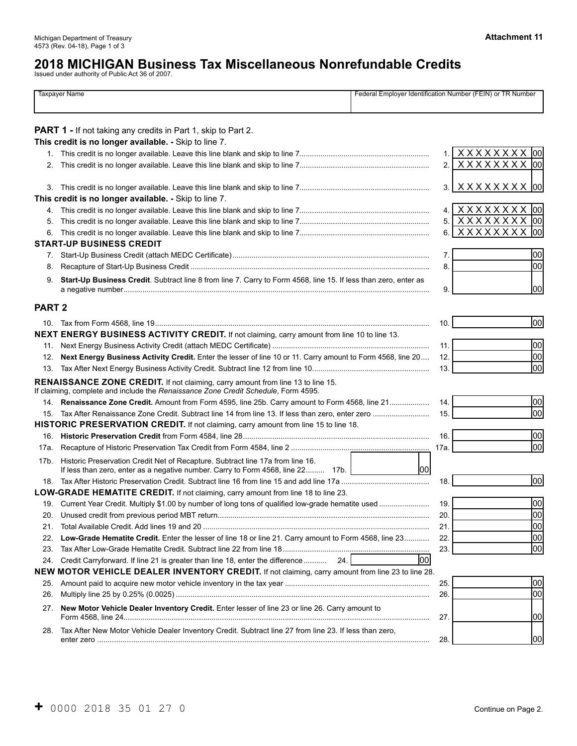# **2018 MICHIGAN Business Tax Miscellaneous Nonrefundable Credits**  Issued under authority of Public Act 36 of 2007.

|               | <b>Taxpayer Name</b>                                                                                                                                                         |      | Federal Employer Identification Number (FEIN) or TR Number |
|---------------|------------------------------------------------------------------------------------------------------------------------------------------------------------------------------|------|------------------------------------------------------------|
|               | <b>PART 1</b> - If not taking any credits in Part 1, skip to Part 2.                                                                                                         |      |                                                            |
|               | This credit is no longer available. - Skip to line 7.                                                                                                                        |      |                                                            |
|               |                                                                                                                                                                              | 1.   | XXXXXXXX 00                                                |
| 2.            |                                                                                                                                                                              | 2.   | XXXXXXXX 00                                                |
|               |                                                                                                                                                                              | 3.   | XXXXXXXX 00                                                |
|               | This credit is no longer available. - Skip to line 7.                                                                                                                        |      |                                                            |
|               |                                                                                                                                                                              | 4.   | XXXXXXXX 00                                                |
| 5.            |                                                                                                                                                                              | 5.   | XXXXXXXX 00                                                |
| 6.            | <b>START-UP BUSINESS CREDIT</b>                                                                                                                                              | 6.   | XXXXXXXX 00                                                |
|               |                                                                                                                                                                              | 7.   | 00                                                         |
| 8.            |                                                                                                                                                                              | 8.   | lool                                                       |
| 9.            | Start-Up Business Credit. Subtract line 8 from line 7. Carry to Form 4568, line 15. If less than zero, enter as                                                              | 9.   | 1001                                                       |
| <b>PART 2</b> |                                                                                                                                                                              |      |                                                            |
|               |                                                                                                                                                                              | 10.  | 00                                                         |
|               | NEXT ENERGY BUSINESS ACTIVITY CREDIT. If not claiming, carry amount from line 10 to line 13.                                                                                 |      |                                                            |
| 11.           |                                                                                                                                                                              | 11.  | 00                                                         |
| 12.           | Next Energy Business Activity Credit. Enter the lesser of line 10 or 11. Carry amount to Form 4568, line 20                                                                  | 12.  | 00                                                         |
| 13.           |                                                                                                                                                                              | 13.  | 00                                                         |
|               | <b>RENAISSANCE ZONE CREDIT.</b> If not claiming, carry amount from line 13 to line 15.<br>If claiming, complete and include the Renaissance Zone Credit Schedule, Form 4595. |      |                                                            |
| 14.           | Renaissance Zone Credit. Amount from Form 4595, line 25b. Carry amount to Form 4568, line 21                                                                                 | 14.  | 00                                                         |
| 15.           |                                                                                                                                                                              | 15.  | 00                                                         |
|               | HISTORIC PRESERVATION CREDIT. If not claiming, carry amount from line 15 to line 18.                                                                                         |      |                                                            |
| 16.           |                                                                                                                                                                              | 16.  | 00                                                         |
| 17a.          |                                                                                                                                                                              | 17a. | 00                                                         |
| 17b.          | Historic Preservation Credit Net of Recapture. Subtract line 17a from line 16.<br>If less than zero, enter as a negative number. Carry to Form 4568, line 22 17b.            | lool |                                                            |
|               |                                                                                                                                                                              | 18.  | 00                                                         |
|               | <b>LOW-GRADE HEMATITE CREDIT.</b> If not claiming, carry amount from line 18 to line 23.                                                                                     |      |                                                            |
|               | 19. Current Year Credit. Multiply \$1.00 by number of long tons of qualified low-grade hematite used                                                                         | 19.  | lool                                                       |
| 20.           |                                                                                                                                                                              | 20.  | 00                                                         |
| 21.           |                                                                                                                                                                              | 21.  | 00                                                         |
| 22.           | Low-Grade Hematite Credit. Enter the lesser of line 18 or line 21. Carry amount to Form 4568, line 23                                                                        | 22.  | 00                                                         |
| 23.           |                                                                                                                                                                              | 23.  | 00                                                         |
| 24.           | Credit Carryforward. If line 21 is greater than line 18, enter the difference<br>24.1                                                                                        | lool |                                                            |
|               | <b>NEW MOTOR VEHICLE DEALER INVENTORY CREDIT.</b> If not claiming, carry amount from line 23 to line 28.                                                                     |      |                                                            |
| 25.           |                                                                                                                                                                              | 25.  | 00                                                         |
| 26.           |                                                                                                                                                                              | 26.  | 00                                                         |
| 27.           | New Motor Vehicle Dealer Inventory Credit. Enter lesser of line 23 or line 26. Carry amount to                                                                               | 27.  | 100                                                        |
| 28.           | Tax After New Motor Vehicle Dealer Inventory Credit. Subtract line 27 from line 23. If less than zero,                                                                       | 28.  | 1001                                                       |
|               |                                                                                                                                                                              |      |                                                            |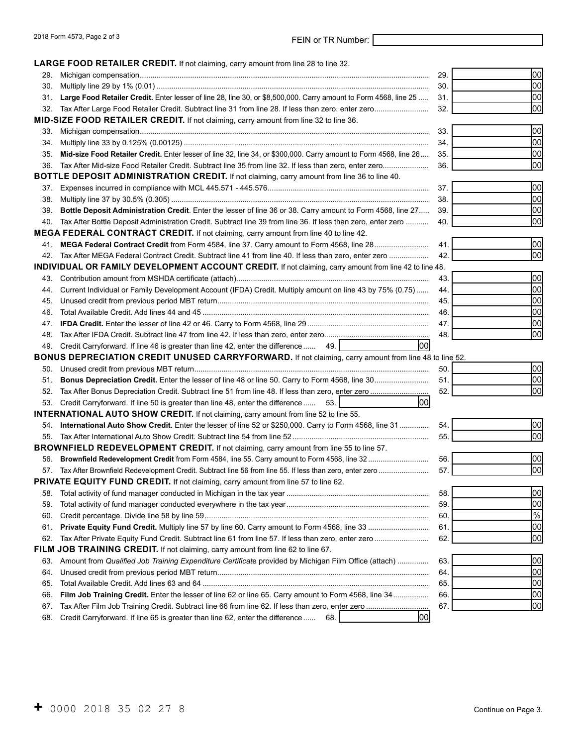# 2018 Form 4573, Page 2 of 3 FEIN or TR Number:

 **LARGE FOOD RETAILER CREDIT.** If not claiming, carry amount from line 28 to line 32.

|     | <b>LANGE TOOD INLTAILEN GNEDIT.</b> II HOUGIAHING, GAHY AHIOUHUHUHI IIHE ZO IO IIHE JZ.                              |     |      |
|-----|----------------------------------------------------------------------------------------------------------------------|-----|------|
| 29. |                                                                                                                      | 29. | 00   |
| 30. |                                                                                                                      | 30. | 00   |
|     | 31. Large Food Retailer Credit. Enter lesser of line 28, line 30, or \$8,500,000. Carry amount to Form 4568, line 25 | 31. | 00   |
|     | 32. Tax After Large Food Retailer Credit. Subtract line 31 from line 28. If less than zero, enter zero               | 32. | 00   |
|     | MID-SIZE FOOD RETAILER CREDIT. If not claiming, carry amount from line 32 to line 36.                                |     |      |
| 33. |                                                                                                                      | 33. | 00   |
| 34. |                                                                                                                      | 34. | 00   |
| 35. | Mid-size Food Retailer Credit. Enter lesser of line 32, line 34, or \$300,000. Carry amount to Form 4568, line 26    | 35. | 00   |
|     | 36. Tax After Mid-size Food Retailer Credit. Subtract line 35 from line 32. If less than zero, enter zero            | 36. | 00   |
|     | BOTTLE DEPOSIT ADMINISTRATION CREDIT. If not claiming, carry amount from line 36 to line 40.                         |     |      |
| 37. |                                                                                                                      | 37. | 00   |
| 38. |                                                                                                                      | 38. | 00   |
| 39. | Bottle Deposit Administration Credit. Enter the lesser of line 36 or 38. Carry amount to Form 4568, line 27          | 39. | 00   |
|     | 40. Tax After Bottle Deposit Administration Credit. Subtract line 39 from line 36. If less than zero, enter zero     | 40. | 00   |
|     | MEGA FEDERAL CONTRACT CREDIT. If not claiming, carry amount from line 40 to line 42.                                 |     |      |
|     | 41. MEGA Federal Contract Credit from Form 4584, line 37. Carry amount to Form 4568, line 28                         | 41. | 00   |
|     | 42. Tax After MEGA Federal Contract Credit. Subtract line 41 from line 40. If less than zero, enter zero             | 42. | 00   |
|     | INDIVIDUAL OR FAMILY DEVELOPMENT ACCOUNT CREDIT. If not claiming, carry amount from line 42 to line 48.              |     |      |
|     |                                                                                                                      | 43. | 00   |
|     | 44. Current Individual or Family Development Account (IFDA) Credit. Multiply amount on line 43 by 75% (0.75)         | 44. | 00   |
| 45. |                                                                                                                      | 45. | 00   |
| 46. |                                                                                                                      | 46. | 00   |
| 47. |                                                                                                                      | 47. | 100  |
| 48. |                                                                                                                      | 48. | 00   |
|     | 100<br>49. Credit Carryforward. If line 46 is greater than line 42, enter the difference<br>49.                      |     |      |
|     | BONUS DEPRECIATION CREDIT UNUSED CARRYFORWARD. If not claiming, carry amount from line 48 to line 52.                |     |      |
|     |                                                                                                                      | 50. | 00   |
| 51. |                                                                                                                      | 51. | 00   |
| 52. |                                                                                                                      | 52. | 100  |
|     | 1001<br>53. Credit Carryforward. If line 50 is greater than line 48, enter the difference<br>53.                     |     |      |
|     | <b>INTERNATIONAL AUTO SHOW CREDIT.</b> If not claiming, carry amount from line 52 to line 55.                        |     |      |
|     | 54. International Auto Show Credit. Enter the lesser of line 52 or \$250,000. Carry to Form 4568, line 31            | 54. | 00   |
| 55. |                                                                                                                      | 55. | 00   |
|     | <b>BROWNFIELD REDEVELOPMENT CREDIT.</b> If not claiming, carry amount from line 55 to line 57.                       |     |      |
| 56. |                                                                                                                      | 56. | 00   |
|     | 57. Tax After Brownfield Redevelopment Credit. Subtract line 56 from line 55. If less than zero, enter zero          | 57. | 100  |
|     | PRIVATE EQUITY FUND CREDIT. If not claiming, carry amount from line 57 to line 62.                                   |     |      |
| 58. |                                                                                                                      | 58. | 00   |
| 59. |                                                                                                                      | 59. | 100  |
| 60. |                                                                                                                      | 60. | $\%$ |
| 61. |                                                                                                                      | 61. | 00   |
| 62. |                                                                                                                      | 62. | 00   |
|     | FILM JOB TRAINING CREDIT. If not claiming, carry amount from line 62 to line 67.                                     |     |      |
| 63. | Amount from Qualified Job Training Expenditure Certificate provided by Michigan Film Office (attach)                 | 63. | 100  |
| 64. |                                                                                                                      | 64. | 00   |
| 65. |                                                                                                                      | 65. | 00   |
| 66. | Film Job Training Credit. Enter the lesser of line 62 or line 65. Carry amount to Form 4568, line 34                 | 66. | 00   |
| 67. |                                                                                                                      | 67. | 00   |
| 68. | lool<br>Credit Carryforward. If line 65 is greater than line 62, enter the difference<br>68.                         |     |      |
|     |                                                                                                                      |     |      |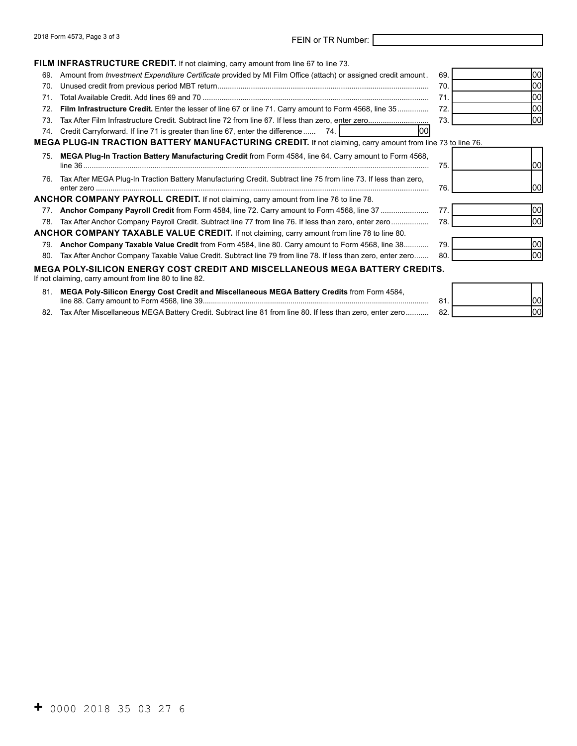# 2018 Form 4573, Page 3 of 3 FEIN or TR Number:

|     | <b>FILM INFRASTRUCTURE CREDIT.</b> If not claiming, carry amount from line 67 to line 73.                                                     |     |      |
|-----|-----------------------------------------------------------------------------------------------------------------------------------------------|-----|------|
| 69. | Amount from <i>Investment Expenditure Certificate</i> provided by MI Film Office (attach) or assigned credit amount.                          | 69. | lool |
| 70. |                                                                                                                                               | 70. | 100  |
| 71  |                                                                                                                                               | 71. | 00   |
| 72. | Film Infrastructure Credit. Enter the lesser of line 67 or line 71. Carry amount to Form 4568, line 35                                        | 72  | lool |
| 73. |                                                                                                                                               | 73. | 100  |
| 74. | lool<br>Credit Carryforward. If line 71 is greater than line 67, enter the difference 74.                                                     |     |      |
|     | MEGA PLUG-IN TRACTION BATTERY MANUFACTURING CREDIT. If not claiming, carry amount from line 73 to line 76.                                    |     |      |
| 75. | MEGA Plug-In Traction Battery Manufacturing Credit from Form 4584, line 64. Carry amount to Form 4568,                                        | 75. | 1001 |
| 76. | Tax After MEGA Plug-In Traction Battery Manufacturing Credit. Subtract line 75 from line 73. If less than zero,                               | 76. | 1001 |
|     | ANCHOR COMPANY PAYROLL CREDIT. If not claiming, carry amount from line 76 to line 78.                                                         |     |      |
|     |                                                                                                                                               | 77. | lool |
| 78. | Tax After Anchor Company Payroll Credit. Subtract line 77 from line 76. If less than zero, enter zero                                         | 78. | lool |
|     | <b>ANCHOR COMPANY TAXABLE VALUE CREDIT.</b> If not claiming, carry amount from line 78 to line 80.                                            |     |      |
| 79. | Anchor Company Taxable Value Credit from Form 4584, line 80. Carry amount to Form 4568, line 38                                               | 79. | lool |
| 80. | Tax After Anchor Company Taxable Value Credit. Subtract line 79 from line 78. If less than zero, enter zero                                   | 80. | lool |
|     | <b>MEGA POLY-SILICON ENERGY COST CREDIT AND MISCELLANEOUS MEGA BATTERY CREDITS.</b><br>If not claiming, carry amount from line 80 to line 82. |     |      |
| 81. | MEGA Poly-Silicon Energy Cost Credit and Miscellaneous MEGA Battery Credits from Form 4584,                                                   | 81. | 100  |

82. Tax After Miscellaneous MEGA Battery Credit. Subtract line 81 from line 80. If less than zero, enter zero........... 82. 00

| ١1<br>ι.       | lo. |
|----------------|-----|
| $\overline{2}$ |     |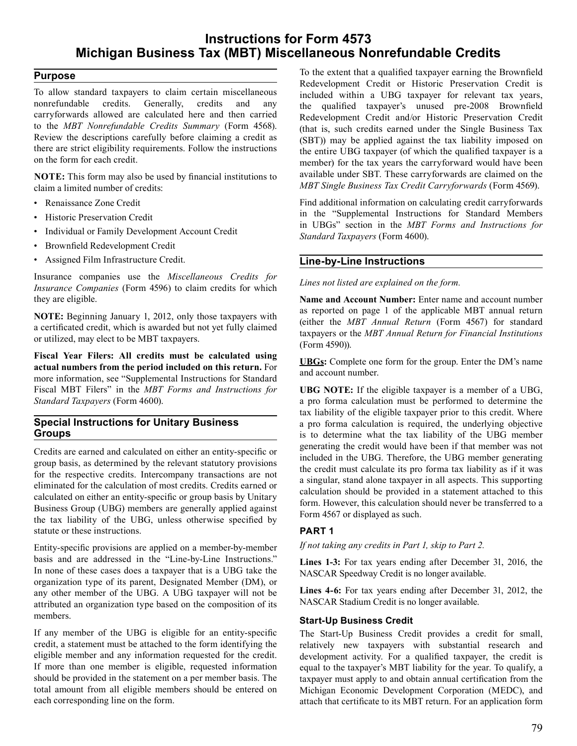## **Instructions for Form 4573 Michigan Business Tax (MBT) Miscellaneous Nonrefundable Credits**

#### **Purpose**

 To allow standard taxpayers to claim certain miscellaneous nonrefundable credits. Generally, credits and any carryforwards allowed are calculated here and then carried to the *MBT Nonrefundable Credits Summary* (Form 4568). Review the descriptions carefully before claiming a credit as there are strict eligibility requirements. Follow the instructions on the form for each credit.

 **NOTE:** This form may also be used by financial institutions to claim a limited number of credits:

- Renaissance Zone Credit
- Historic Preservation Credit
- Individual or Family Development Account Credit
- Brownfield Redevelopment Credit
- Assigned Film Infrastructure Credit.

 Insurance companies use the *Miscellaneous Credits for Insurance Companies* (Form 4596) to claim credits for which they are eligible.

 **NOTE:** Beginning January 1, 2012, only those taxpayers with a certificated credit, which is awarded but not yet fully claimed or utilized, may elect to be MBT taxpayers.

 **actual numbers from the period included on this return.** For more information, see "Supplemental Instructions for Standard Fiscal MBT Filers" in the *MBT Forms and Instructions for Standard Taxpayers* (Form 4600). **Fiscal Year Filers: All credits must be calculated using** 

#### **Special Instructions for Unitary Business Groups**

 Credits are earned and calculated on either an entity-specific or group basis, as determined by the relevant statutory provisions for the respective credits. Intercompany transactions are not eliminated for the calculation of most credits. Credits earned or calculated on either an entity-specific or group basis by Unitary Business Group (UBG) members are generally applied against the tax liability of the UBG, unless otherwise specified by statute or these instructions.

 Entity-specific provisions are applied on a member-by-member basis and are addressed in the "Line-by-Line Instructions." In none of these cases does a taxpayer that is a UBG take the organization type of its parent, Designated Member (DM), or any other member of the UBG. A UBG taxpayer will not be attributed an organization type based on the composition of its members.

 If any member of the UBG is eligible for an entity-specific credit, a statement must be attached to the form identifying the eligible member and any information requested for the credit. If more than one member is eligible, requested information should be provided in the statement on a per member basis. The total amount from all eligible members should be entered on each corresponding line on the form.

 To the extent that a qualified taxpayer earning the Brownfield Redevelopment Credit or Historic Preservation Credit is included within a UBG taxpayer for relevant tax years, the qualified taxpayer's unused pre-2008 Brownfield Redevelopment Credit and/or Historic Preservation Credit (that is, such credits earned under the Single Business Tax (SBT)) may be applied against the tax liability imposed on the entire UBG taxpayer (of which the qualified taxpayer is a member) for the tax years the carryforward would have been available under SBT. These carryforwards are claimed on the *MBT Single Business Tax Credit Carryforwards* (Form 4569).

 Find additional information on calculating credit carryforwards in the "Supplemental Instructions for Standard Members in UBGs" section in the *MBT Forms and Instructions for Standard Taxpayers* (Form 4600).

### **Line-by-Line Instructions**

*Lines not listed are explained on the form.* 

 **Name and Account Number:** Enter name and account number as reported on page 1 of the applicable MBT annual return (either the *MBT Annual Return* (Form 4567) for standard taxpayers or the *MBT Annual Return for Financial Institutions*  (Form 4590)).

 **UBGs:** Complete one form for the group. Enter the DM's name and account number.

 **UBG NOTE:** If the eligible taxpayer is a member of a UBG, a pro forma calculation must be performed to determine the tax liability of the eligible taxpayer prior to this credit. Where a pro forma calculation is required, the underlying objective is to determine what the tax liability of the UBG member generating the credit would have been if that member was not included in the UBG. Therefore, the UBG member generating the credit must calculate its pro forma tax liability as if it was a singular, stand alone taxpayer in all aspects. This supporting calculation should be provided in a statement attached to this form. However, this calculation should never be transferred to a Form 4567 or displayed as such.

### **PART 1**

*If not taking any credits in Part 1, skip to Part 2.* 

 **Lines 1-3:** For tax years ending after December 31, 2016, the NASCAR Speedway Credit is no longer available.

 **Lines 4-6:** For tax years ending after December 31, 2012, the NASCAR Stadium Credit is no longer available.

#### **Start-Up Business Credit**

 The Start-Up Business Credit provides a credit for small, relatively new taxpayers with substantial research and development activity. For a qualified taxpayer, the credit is equal to the taxpayer's MBT liability for the year. To qualify, a taxpayer must apply to and obtain annual certification from the Michigan Economic Development Corporation (MEDC), and attach that certificate to its MBT return. For an application form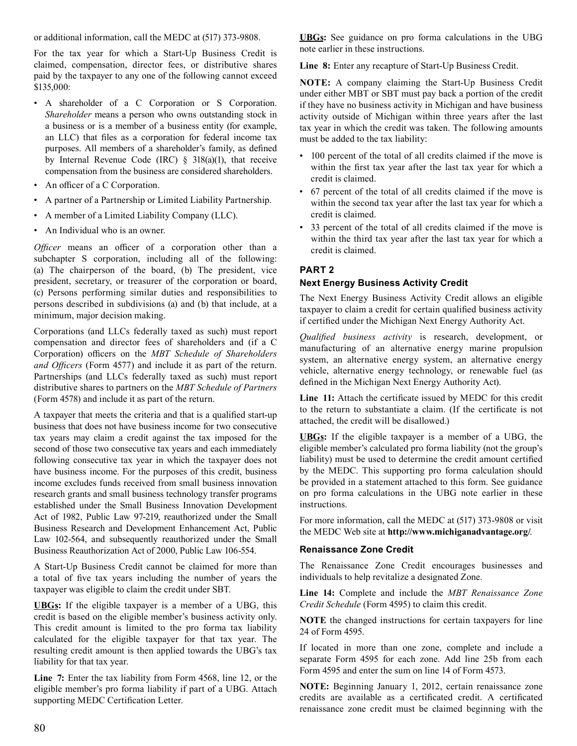or additional information, call the MEDC at (517) 373-9808.

 For the tax year for which a Start-Up Business Credit is claimed, compensation, director fees, or distributive shares paid by the taxpayer to any one of the following cannot exceed \$135,000:

- A shareholder of a C Corporation or S Corporation. *Shareholder* means a person who owns outstanding stock in a business or is a member of a business entity (for example, an LLC) that files as a corporation for federal income tax purposes. All members of a shareholder's family, as defined by Internal Revenue Code (IRC) § 318(a)(1), that receive compensation from the business are considered shareholders.
- An officer of a C Corporation.
- A partner of a Partnership or Limited Liability Partnership.
- A member of a Limited Liability Company (LLC).
- An Individual who is an owner.

 *Officer* means an officer of a corporation other than a subchapter S corporation, including all of the following: (a) The chairperson of the board, (b) The president, vice president, secretary, or treasurer of the corporation or board, (c) Persons performing similar duties and responsibilities to persons described in subdivisions (a) and (b) that include, at a minimum, major decision making.

 Corporations (and LLCs federally taxed as such) must report compensation and director fees of shareholders and (if a C Corporation) officers on the *MBT Schedule of Shareholders and Officers* (Form 4577) and include it as part of the return. Partnerships (and LLCs federally taxed as such) must report distributive shares to partners on the *MBT Schedule of Partners*  (Form 4578) and include it as part of the return.

 A taxpayer that meets the criteria and that is a qualified start-up business that does not have business income for two consecutive tax years may claim a credit against the tax imposed for the second of those two consecutive tax years and each immediately following consecutive tax year in which the taxpayer does not have business income. For the purposes of this credit, business income excludes funds received from small business innovation research grants and small business technology transfer programs established under the Small Business Innovation Development Act of 1982, Public Law 97-219, reauthorized under the Small Business Research and Development Enhancement Act, Public Law 102-564, and subsequently reauthorized under the Small Business Reauthorization Act of 2000, Public Law 106-554.

 A Start-Up Business Credit cannot be claimed for more than a total of five tax years including the number of years the taxpayer was eligible to claim the credit under SBT.

 **UBGs:** If the eligible taxpayer is a member of a UBG, this credit is based on the eligible member's business activity only. This credit amount is limited to the pro forma tax liability calculated for the eligible taxpayer for that tax year. The resulting credit amount is then applied towards the UBG's tax liability for that tax year.

 **Line 7:** Enter the tax liability from Form 4568, line 12, or the eligible member's pro forma liability if part of a UBG. Attach supporting MEDC Certification Letter.

 **UBGs:** See guidance on pro forma calculations in the UBG note earlier in these instructions.

 **Line 8:** Enter any recapture of Start-Up Business Credit.

 **NOTE:** A company claiming the Start-Up Business Credit under either MBT or SBT must pay back a portion of the credit if they have no business activity in Michigan and have business activity outside of Michigan within three years after the last tax year in which the credit was taken. The following amounts must be added to the tax liability:

- 100 percent of the total of all credits claimed if the move is within the first tax year after the last tax year for which a credit is claimed.
- 67 percent of the total of all credits claimed if the move is within the second tax year after the last tax year for which a credit is claimed.
- 33 percent of the total of all credits claimed if the move is within the third tax year after the last tax year for which a credit is claimed.

### **PART 2**

### **Next Energy Business Activity Credit**

 The Next Energy Business Activity Credit allows an eligible taxpayer to claim a credit for certain qualified business activity if certified under the Michigan Next Energy Authority Act.

 *Qualified business activity* is research, development, or manufacturing of an alternative energy marine propulsion system, an alternative energy system, an alternative energy vehicle, alternative energy technology, or renewable fuel (as defined in the Michigan Next Energy Authority Act).

 **Line 11:** Attach the certificate issued by MEDC for this credit to the return to substantiate a claim. (If the certificate is not attached, the credit will be disallowed.)

 **UBGs:** If the eligible taxpayer is a member of a UBG, the eligible member's calculated pro forma liability (not the group's liability) must be used to determine the credit amount certified by the MEDC. This supporting pro forma calculation should be provided in a statement attached to this form. See guidance on pro forma calculations in the UBG note earlier in these instructions.

 For more information, call the MEDC at (517) 373-9808 or visit the MEDC Web site at **http://www.michiganadvantage.org/**.

#### **Renaissance Zone Credit**

 The Renaissance Zone Credit encourages businesses and individuals to help revitalize a designated Zone.

 **Line 14:** Complete and include the *MBT Renaissance Zone Credit Schedule* (Form 4595) to claim this credit.

 **NOTE** the changed instructions for certain taxpayers for line 24 of Form 4595.

 If located in more than one zone, complete and include a separate Form 4595 for each zone. Add line 25b from each Form 4595 and enter the sum on line 14 of Form 4573.

 **NOTE:** Beginning January 1, 2012, certain renaissance zone credits are available as a certificated credit. A certificated renaissance zone credit must be claimed beginning with the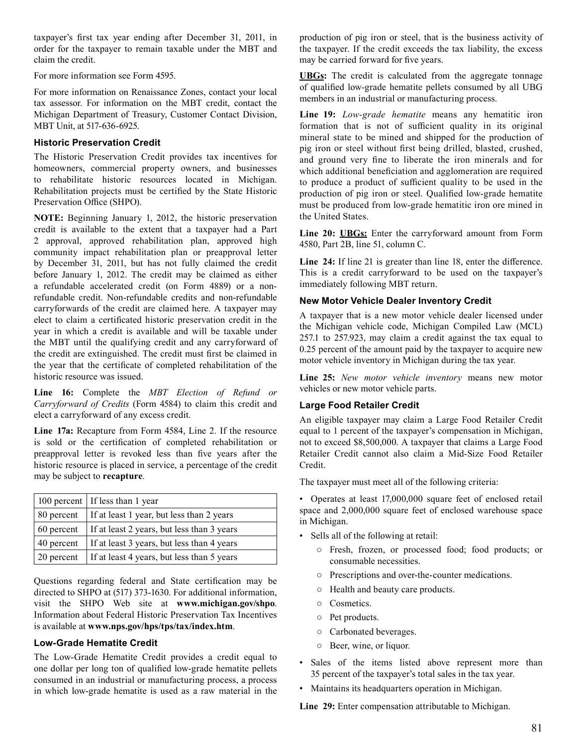taxpayer's first tax year ending after December 31, 2011, in order for the taxpayer to remain taxable under the MBT and claim the credit.

 For more information see Form 4595.

 For more information on Renaissance Zones, contact your local tax assessor. For information on the MBT credit, contact the Michigan Department of Treasury, Customer Contact Division, MBT Unit, at 517-636-6925.

#### **Historic Preservation Credit**

 The Historic Preservation Credit provides tax incentives for homeowners, commercial property owners, and businesses to rehabilitate historic resources located in Michigan. Rehabilitation projects must be certified by the State Historic Preservation Office (SHPO).

 **NOTE:** Beginning January 1, 2012, the historic preservation credit is available to the extent that a taxpayer had a Part 2 approval, approved rehabilitation plan, approved high community impact rehabilitation plan or preapproval letter by December 31, 2011, but has not fully claimed the credit before January 1, 2012. The credit may be claimed as either a refundable accelerated credit (on Form 4889) or a non- refundable credit. Non-refundable credits and non-refundable carryforwards of the credit are claimed here. A taxpayer may elect to claim a certificated historic preservation credit in the year in which a credit is available and will be taxable under the MBT until the qualifying credit and any carryforward of the credit are extinguished. The credit must first be claimed in the year that the certificate of completed rehabilitation of the historic resource was issued.

 **Line 16:** Complete the *MBT Election of Refund or Carryforward of Credits* (Form 4584) to claim this credit and elect a carryforward of any excess credit.

 **Line 17a:** Recapture from Form 4584, Line 2. If the resource is sold or the certification of completed rehabilitation or preapproval letter is revoked less than five years after the historic resource is placed in service, a percentage of the credit may be subject to **recapture**.

|            | 100 percent   If less than 1 year          |
|------------|--------------------------------------------|
| 80 percent | If at least 1 year, but less than 2 years  |
| 60 percent | If at least 2 years, but less than 3 years |
| 40 percent | If at least 3 years, but less than 4 years |
| 20 percent | If at least 4 years, but less than 5 years |

 Questions regarding federal and State certification may be directed to SHPO at (517) 373-1630. For additional information, visit the SHPO Web site at **www.michigan.gov/shpo**. Information about Federal Historic Preservation Tax Incentives is available at **www.nps.gov/hps/tps/tax/index.htm**.

#### **Low-Grade Hematite Credit**

 The Low-Grade Hematite Credit provides a credit equal to one dollar per long ton of qualified low-grade hematite pellets consumed in an industrial or manufacturing process, a process in which low-grade hematite is used as a raw material in the  production of pig iron or steel, that is the business activity of the taxpayer. If the credit exceeds the tax liability, the excess may be carried forward for five years.

 **UBGs:** The credit is calculated from the aggregate tonnage of qualified low-grade hematite pellets consumed by all UBG members in an industrial or manufacturing process.

 **Line 19:** *Low-grade hematite* means any hematitic iron formation that is not of sufficient quality in its original mineral state to be mined and shipped for the production of pig iron or steel without first being drilled, blasted, crushed, and ground very fine to liberate the iron minerals and for which additional beneficiation and agglomeration are required to produce a product of sufficient quality to be used in the production of pig iron or steel. Qualified low-grade hematite must be produced from low-grade hematitic iron ore mined in the United States.

 **Line 20: UBGs:** Enter the carryforward amount from Form 4580, Part 2B, line 51, column C.

 **Line 24:** If line 21 is greater than line 18, enter the difference. This is a credit carryforward to be used on the taxpayer's immediately following MBT return.

#### **New Motor Vehicle Dealer Inventory Credit**

 A taxpayer that is a new motor vehicle dealer licensed under the Michigan vehicle code, Michigan Compiled Law (MCL) 257.1 to 257.923, may claim a credit against the tax equal to 0.25 percent of the amount paid by the taxpayer to acquire new motor vehicle inventory in Michigan during the tax year.

 **Line 25:** *New motor vehicle inventory* means new motor vehicles or new motor vehicle parts.

#### **Large Food Retailer Credit**

 An eligible taxpayer may claim a Large Food Retailer Credit equal to 1 percent of the taxpayer's compensation in Michigan, not to exceed \$8,500,000. A taxpayer that claims a Large Food Retailer Credit cannot also claim a Mid-Size Food Retailer Credit.

 The taxpayer must meet all of the following criteria:

- Operates at least 17,000,000 square feet of enclosed retail space and 2,000,000 square feet of enclosed warehouse space in Michigan.
- Sells all of the following at retail:
	- Fresh, frozen, or processed food; food products; or consumable necessities.
	- Prescriptions and over-the-counter medications.
	- Health and beauty care products.
	- Cosmetics.
	- Pet products.
	- Carbonated beverages.
	- Beer, wine, or liquor.
- Sales of the items listed above represent more than 35 percent of the taxpayer's total sales in the tax year.
- Maintains its headquarters operation in Michigan.

 **Line 29:** Enter compensation attributable to Michigan.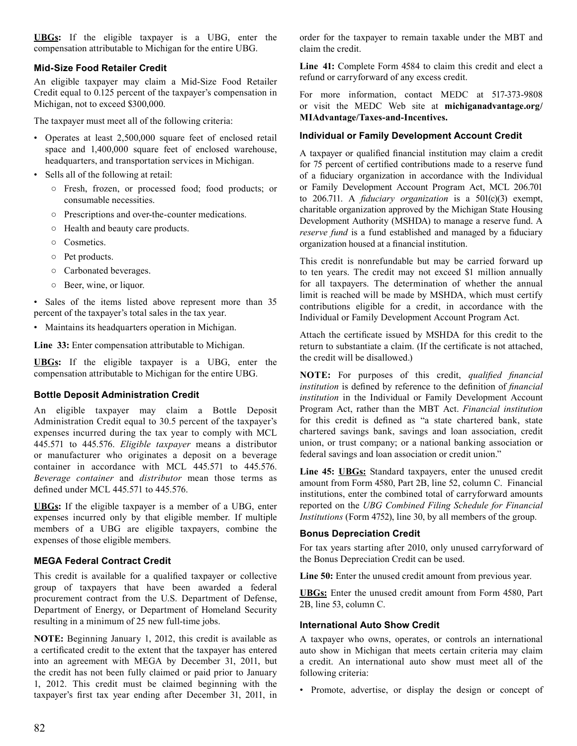**UBGs:** If the eligible taxpayer is a UBG, enter the compensation attributable to Michigan for the entire UBG.

#### **Mid-Size Food Retailer Credit**

 An eligible taxpayer may claim a Mid-Size Food Retailer Credit equal to 0.125 percent of the taxpayer's compensation in Michigan, not to exceed \$300,000.

 The taxpayer must meet all of the following criteria:

- Operates at least 2,500,000 square feet of enclosed retail space and 1,400,000 square feet of enclosed warehouse, headquarters, and transportation services in Michigan.
- Sells all of the following at retail:
	- Fresh, frozen, or processed food; food products; or consumable necessities.
	- Prescriptions and over-the-counter medications.
	- Health and beauty care products.
	- Cosmetics.
	- Pet products.
	- Carbonated beverages.
	- Beer, wine, or liquor.

 • Sales of the items listed above represent more than 35 percent of the taxpayer's total sales in the tax year.

 • Maintains its headquarters operation in Michigan.

 **Line 33:** Enter compensation attributable to Michigan.

 **UBGs:** If the eligible taxpayer is a UBG, enter the compensation attributable to Michigan for the entire UBG.

#### **Bottle Deposit Administration Credit**

 An eligible taxpayer may claim a Bottle Deposit Administration Credit equal to 30.5 percent of the taxpayer's expenses incurred during the tax year to comply with MCL 445.571 to 445.576. *Eligible taxpayer* means a distributor or manufacturer who originates a deposit on a beverage container in accordance with MCL 445.571 to 445.576. *Beverage container* and *distributor* mean those terms as defined under MCL 445.571 to 445.576.

 **UBGs:** If the eligible taxpayer is a member of a UBG, enter expenses incurred only by that eligible member. If multiple members of a UBG are eligible taxpayers, combine the expenses of those eligible members.

#### **MEGA Federal Contract Credit**

 This credit is available for a qualified taxpayer or collective group of taxpayers that have been awarded a federal procurement contract from the U.S. Department of Defense, Department of Energy, or Department of Homeland Security resulting in a minimum of 25 new full-time jobs.

 **NOTE:** Beginning January 1, 2012, this credit is available as a certificated credit to the extent that the taxpayer has entered into an agreement with MEGA by December 31, 2011, but the credit has not been fully claimed or paid prior to January 1, 2012. This credit must be claimed beginning with the taxpayer's first tax year ending after December 31, 2011, in  order for the taxpayer to remain taxable under the MBT and claim the credit.

 **Line 41:** Complete Form 4584 to claim this credit and elect a refund or carryforward of any excess credit.

 For more information, contact MEDC at 517-373-9808 or visit the MEDC Web site at **michiganadvantage.org/ MIAdvantage/Taxes-and-Incentives.** 

#### **Individual or Family Development Account Credit**

 A taxpayer or qualified financial institution may claim a credit for 75 percent of certified contributions made to a reserve fund of a fiduciary organization in accordance with the Individual or Family Development Account Program Act, MCL 206.701 to 206.711. A *fiduciary organization* is a 501(c)(3) exempt, charitable organization approved by the Michigan State Housing Development Authority (MSHDA) to manage a reserve fund. A *reserve fund* is a fund established and managed by a fiduciary organization housed at a financial institution.

 This credit is nonrefundable but may be carried forward up to ten years. The credit may not exceed \$1 million annually for all taxpayers. The determination of whether the annual limit is reached will be made by MSHDA, which must certify contributions eligible for a credit, in accordance with the Individual or Family Development Account Program Act.

 Attach the certificate issued by MSHDA for this credit to the return to substantiate a claim. (If the certificate is not attached, the credit will be disallowed.)

  **NOTE:** For purposes of this credit, *qualified financial institution* is defined by reference to the definition of *financial institution* in the Individual or Family Development Account Program Act, rather than the MBT Act. *Financial institution*  for this credit is defined as "a state chartered bank, state chartered savings bank, savings and loan association, credit union, or trust company; or a national banking association or federal savings and loan association or credit union."

 **Line 45: UBGs:** Standard taxpayers, enter the unused credit amount from Form 4580, Part 2B, line 52, column C. Financial institutions, enter the combined total of carryforward amounts reported on the *UBG Combined Filing Schedule for Financial Institutions* (Form 4752), line 30, by all members of the group.

#### **Bonus Depreciation Credit**

 For tax years starting after 2010, only unused carryforward of the Bonus Depreciation Credit can be used.

 **Line 50:** Enter the unused credit amount from previous year.

 **UBGs:** Enter the unused credit amount from Form 4580, Part 2B, line 53, column C.

#### **International Auto Show Credit**

 A taxpayer who owns, operates, or controls an international auto show in Michigan that meets certain criteria may claim a credit. An international auto show must meet all of the following criteria:

 • Promote, advertise, or display the design or concept of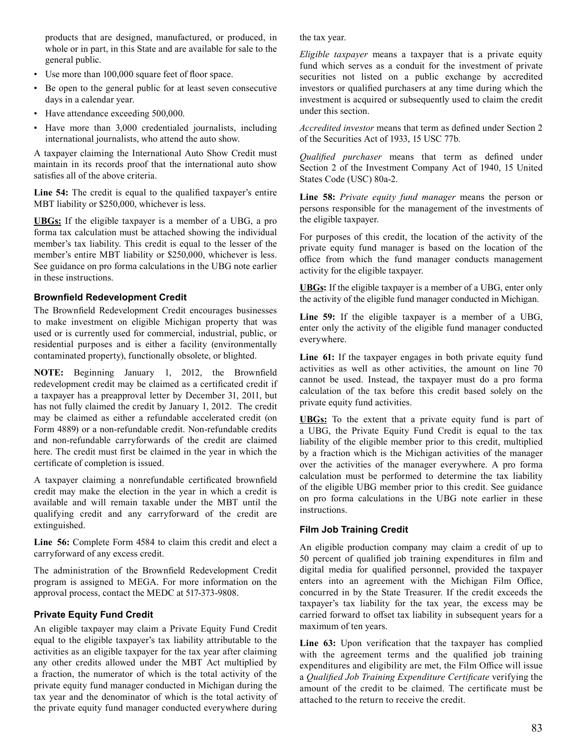products that are designed, manufactured, or produced, in whole or in part, in this State and are available for sale to the general public.

- Use more than 100,000 square feet of floor space.
- Be open to the general public for at least seven consecutive days in a calendar year.
- Have attendance exceeding 500,000.
- Have more than 3,000 credentialed journalists, including international journalists, who attend the auto show.

 A taxpayer claiming the International Auto Show Credit must maintain in its records proof that the international auto show satisfies all of the above criteria.

 **Line 54:** The credit is equal to the qualified taxpayer's entire MBT liability or \$250,000, whichever is less.

 **UBGs:** If the eligible taxpayer is a member of a UBG, a pro forma tax calculation must be attached showing the individual member's tax liability. This credit is equal to the lesser of the member's entire MBT liability or \$250,000, whichever is less. See guidance on pro forma calculations in the UBG note earlier in these instructions.

#### **Brownfield Redevelopment Credit**

 The Brownfield Redevelopment Credit encourages businesses to make investment on eligible Michigan property that was used or is currently used for commercial, industrial, public, or residential purposes and is either a facility (environmentally contaminated property), functionally obsolete, or blighted.

 **NOTE:** Beginning January 1, 2012, the Brownfield redevelopment credit may be claimed as a certificated credit if a taxpayer has a preapproval letter by December 31, 2011, but has not fully claimed the credit by January 1, 2012. The credit may be claimed as either a refundable accelerated credit (on Form 4889) or a non-refundable credit. Non-refundable credits and non-refundable carryforwards of the credit are claimed here. The credit must first be claimed in the year in which the certificate of completion is issued.

 A taxpayer claiming a nonrefundable certificated brownfield credit may make the election in the year in which a credit is available and will remain taxable under the MBT until the qualifying credit and any carryforward of the credit are extinguished.

 **Line 56:** Complete Form 4584 to claim this credit and elect a carryforward of any excess credit.

 The administration of the Brownfield Redevelopment Credit program is assigned to MEGA. For more information on the approval process, contact the MEDC at 517-373-9808.

#### **Private Equity Fund Credit**

 An eligible taxpayer may claim a Private Equity Fund Credit equal to the eligible taxpayer's tax liability attributable to the activities as an eligible taxpayer for the tax year after claiming any other credits allowed under the MBT Act multiplied by a fraction, the numerator of which is the total activity of the private equity fund manager conducted in Michigan during the tax year and the denominator of which is the total activity of the private equity fund manager conducted everywhere during  the tax year.

 *Eligible taxpayer* means a taxpayer that is a private equity fund which serves as a conduit for the investment of private securities not listed on a public exchange by accredited investors or qualified purchasers at any time during which the investment is acquired or subsequently used to claim the credit under this section.

 *Accredited investor* means that term as defined under Section 2 of the Securities Act of 1933, 15 USC 77b.

 *Qualified purchaser* means that term as defined under Section 2 of the Investment Company Act of 1940, 15 United States Code (USC) 80a-2.

 **Line 58:** *Private equity fund manager* means the person or persons responsible for the management of the investments of the eligible taxpayer.

 For purposes of this credit, the location of the activity of the private equity fund manager is based on the location of the office from which the fund manager conducts management activity for the eligible taxpayer.

 **UBGs:** If the eligible taxpayer is a member of a UBG, enter only the activity of the eligible fund manager conducted in Michigan.

 **Line 59:** If the eligible taxpayer is a member of a UBG, enter only the activity of the eligible fund manager conducted everywhere.

 **Line 61:** If the taxpayer engages in both private equity fund activities as well as other activities, the amount on line 70 cannot be used. Instead, the taxpayer must do a pro forma calculation of the tax before this credit based solely on the private equity fund activities.

 **UBGs:** To the extent that a private equity fund is part of a UBG, the Private Equity Fund Credit is equal to the tax liability of the eligible member prior to this credit, multiplied by a fraction which is the Michigan activities of the manager over the activities of the manager everywhere. A pro forma calculation must be performed to determine the tax liability of the eligible UBG member prior to this credit. See guidance on pro forma calculations in the UBG note earlier in these instructions.

#### **Film Job Training Credit**

 An eligible production company may claim a credit of up to 50 percent of qualified job training expenditures in film and digital media for qualified personnel, provided the taxpayer enters into an agreement with the Michigan Film Office, concurred in by the State Treasurer. If the credit exceeds the taxpayer's tax liability for the tax year, the excess may be carried forward to offset tax liability in subsequent years for a maximum of ten years.

 **Line 63:** Upon verification that the taxpayer has complied with the agreement terms and the qualified job training expenditures and eligibility are met, the Film Office will issue a *Qualified Job Training Expenditure Certificate* verifying the amount of the credit to be claimed. The certificate must be attached to the return to receive the credit.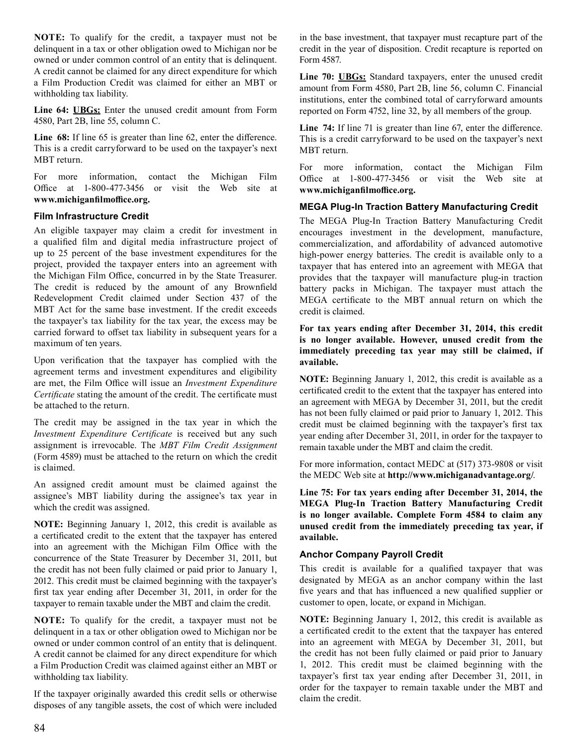**NOTE:** To qualify for the credit, a taxpayer must not be delinquent in a tax or other obligation owed to Michigan nor be owned or under common control of an entity that is delinquent. A credit cannot be claimed for any direct expenditure for which a Film Production Credit was claimed for either an MBT or withholding tax liability.

 **Line 64: UBGs:** Enter the unused credit amount from Form 4580, Part 2B, line 55, column C.

 **Line 68:** If line 65 is greater than line 62, enter the difference. This is a credit carryforward to be used on the taxpayer's next MBT return.

 For more information, contact the Michigan Film Office at 1-800-477-3456 or visit the Web site at **www.michiganfilmoffice.org.**

#### **Film Infrastructure Credit**

 An eligible taxpayer may claim a credit for investment in a qualified film and digital media infrastructure project of up to 25 percent of the base investment expenditures for the project, provided the taxpayer enters into an agreement with the Michigan Film Office, concurred in by the State Treasurer. The credit is reduced by the amount of any Brownfield Redevelopment Credit claimed under Section 437 of the MBT Act for the same base investment. If the credit exceeds the taxpayer's tax liability for the tax year, the excess may be carried forward to offset tax liability in subsequent years for a maximum of ten years.

 Upon verification that the taxpayer has complied with the agreement terms and investment expenditures and eligibility are met, the Film Office will issue an *Investment Expenditure Certificate* stating the amount of the credit. The certificate must be attached to the return.

 The credit may be assigned in the tax year in which the *Investment Expenditure Certificate* is received but any such assignment is irrevocable. The *MBT Film Credit Assignment*  (Form 4589) must be attached to the return on which the credit is claimed.

 An assigned credit amount must be claimed against the assignee's MBT liability during the assignee's tax year in which the credit was assigned.

 **NOTE:** Beginning January 1, 2012, this credit is available as a certificated credit to the extent that the taxpayer has entered into an agreement with the Michigan Film Office with the concurrence of the State Treasurer by December 31, 2011, but the credit has not been fully claimed or paid prior to January 1, 2012. This credit must be claimed beginning with the taxpayer's first tax year ending after December 31, 2011, in order for the taxpayer to remain taxable under the MBT and claim the credit.

 **NOTE:** To qualify for the credit, a taxpayer must not be delinquent in a tax or other obligation owed to Michigan nor be owned or under common control of an entity that is delinquent. A credit cannot be claimed for any direct expenditure for which a Film Production Credit was claimed against either an MBT or withholding tax liability.

 If the taxpayer originally awarded this credit sells or otherwise disposes of any tangible assets, the cost of which were included  in the base investment, that taxpayer must recapture part of the credit in the year of disposition. Credit recapture is reported on Form 4587.

 **Line 70: UBGs:** Standard taxpayers, enter the unused credit amount from Form 4580, Part 2B, line 56, column C. Financial institutions, enter the combined total of carryforward amounts reported on Form 4752, line 32, by all members of the group.

 **Line 74:** If line 71 is greater than line 67, enter the difference. This is a credit carryforward to be used on the taxpayer's next MBT return.

 For more information, contact the Michigan Film Office at 1-800-477-3456 or visit the Web site at **www.michiganfilmoffice.org.**

#### **MEGA Plug-In Traction Battery Manufacturing Credit**

 The MEGA Plug-In Traction Battery Manufacturing Credit encourages investment in the development, manufacture, commercialization, and affordability of advanced automotive high-power energy batteries. The credit is available only to a taxpayer that has entered into an agreement with MEGA that provides that the taxpayer will manufacture plug-in traction battery packs in Michigan. The taxpayer must attach the MEGA certificate to the MBT annual return on which the credit is claimed.

**For tax years ending after December 31, 2014, this credit is no longer available. However, unused credit from the immediately preceding tax year may still be claimed, if available.** 

 **NOTE:** Beginning January 1, 2012, this credit is available as a certificated credit to the extent that the taxpayer has entered into an agreement with MEGA by December 31, 2011, but the credit has not been fully claimed or paid prior to January 1, 2012. This credit must be claimed beginning with the taxpayer's first tax year ending after December 31, 2011, in order for the taxpayer to remain taxable under the MBT and claim the credit.

 For more information, contact MEDC at (517) 373-9808 or visit the MEDC Web site at **http://www.michiganadvantage.org/**.

**Line 75: For tax years ending after December 31, 2014, the MEGA Plug-In Traction Battery Manufacturing Credit is no longer available. Complete Form 4584 to claim any unused credit from the immediately preceding tax year, if available.** 

#### **Anchor Company Payroll Credit**

 This credit is available for a qualified taxpayer that was designated by MEGA as an anchor company within the last five years and that has influenced a new qualified supplier or customer to open, locate, or expand in Michigan.

 **NOTE:** Beginning January 1, 2012, this credit is available as a certificated credit to the extent that the taxpayer has entered into an agreement with MEGA by December 31, 2011, but the credit has not been fully claimed or paid prior to January 1, 2012. This credit must be claimed beginning with the taxpayer's first tax year ending after December 31, 2011, in order for the taxpayer to remain taxable under the MBT and claim the credit.